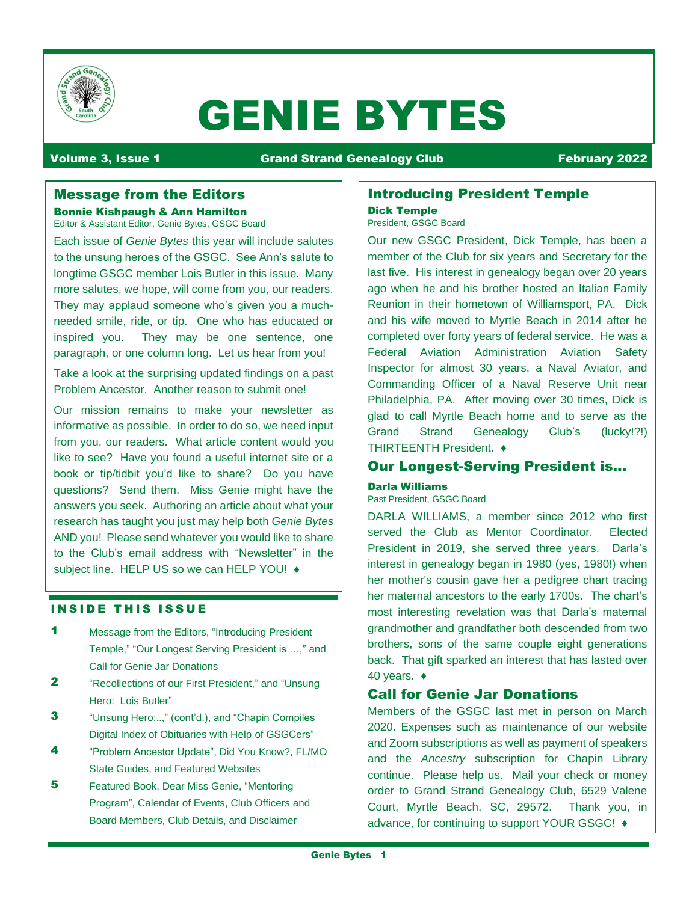

# GENIE BYTES

# Volume 3, Issue 1 Grand Strand Genealogy Club February 2022

# Message from the Editors

Bonnie Kishpaugh & Ann Hamilton Editor & Assistant Editor, Genie Bytes, GSGC Board

Each issue of *Genie Bytes* this year will include salutes to the unsung heroes of the GSGC. See Ann's salute to longtime GSGC member Lois Butler in this issue. Many more salutes, we hope, will come from you, our readers. They may applaud someone who's given you a muchneeded smile, ride, or tip. One who has educated or inspired you. They may be one sentence, one paragraph, or one column long. Let us hear from you!

Take a look at the surprising updated findings on a past Problem Ancestor. Another reason to submit one!

Our mission remains to make your newsletter as informative as possible. In order to do so, we need input from you, our readers. What article content would you like to see? Have you found a useful internet site or a book or tip/tidbit you'd like to share? Do you have questions? Send them. Miss Genie might have the answers you seek. Authoring an article about what your research has taught you just may help both *Genie Bytes*  AND you! Please send whatever you would like to share to the Club's email address with "Newsletter" in the subject line. HELP US so we can HELP YOU! ♦

#### **INSIDE THIS ISSUE**

- 1 Message from the Editors, "Introducing President Temple," "Our Longest Serving President is …," and Call for Genie Jar Donations
- 2 "Recollections of our First President," and "Unsung Hero: Lois Butler"
- **3** "Unsung Hero:..," (cont'd.), and "Chapin Compiles Digital Index of Obituaries with Help of GSGCers"
- 4 "Problem Ancestor Update", Did You Know?, FL/MO State Guides, and Featured Websites
- 5 Featured Book, Dear Miss Genie, "Mentoring Program", Calendar of Events, Club Officers and Board Members, Club Details, and Disclaimer

# Introducing President Temple Dick Temple

President, GSGC Board

Our new GSGC President, Dick Temple, has been a member of the Club for six years and Secretary for the last five. His interest in genealogy began over 20 years ago when he and his brother hosted an Italian Family Reunion in their hometown of Williamsport, PA. Dick and his wife moved to Myrtle Beach in 2014 after he completed over forty years of federal service. He was a Federal Aviation Administration Aviation Safety Inspector for almost 30 years, a Naval Aviator, and Commanding Officer of a Naval Reserve Unit near Philadelphia, PA. After moving over 30 times, Dick is glad to call Myrtle Beach home and to serve as the Grand Strand Genealogy Club's (lucky!?!) THIRTEENTH President. ♦

# Our Longest-Serving President is…

# Darla Williams

Past President, GSGC Board

DARLA WILLIAMS, a member since 2012 who first served the Club as Mentor Coordinator. Elected President in 2019, she served three years. Darla's interest in genealogy began in 1980 (yes, 1980!) when her mother's cousin gave her a pedigree chart tracing her maternal ancestors to the early 1700s. The chart's most interesting revelation was that Darla's maternal grandmother and grandfather both descended from two brothers, sons of the same couple eight generations back. That gift sparked an interest that has lasted over 40 years. ♦

# Call for Genie Jar Donations

Members of the GSGC last met in person on March 2020. Expenses such as maintenance of our website and Zoom subscriptions as well as payment of speakers and the *Ancestry* subscription for Chapin Library continue. Please help us. Mail your check or money order to Grand Strand Genealogy Club, 6529 Valene Court, Myrtle Beach, SC, 29572. Thank you, in advance, for continuing to support YOUR GSGC! ♦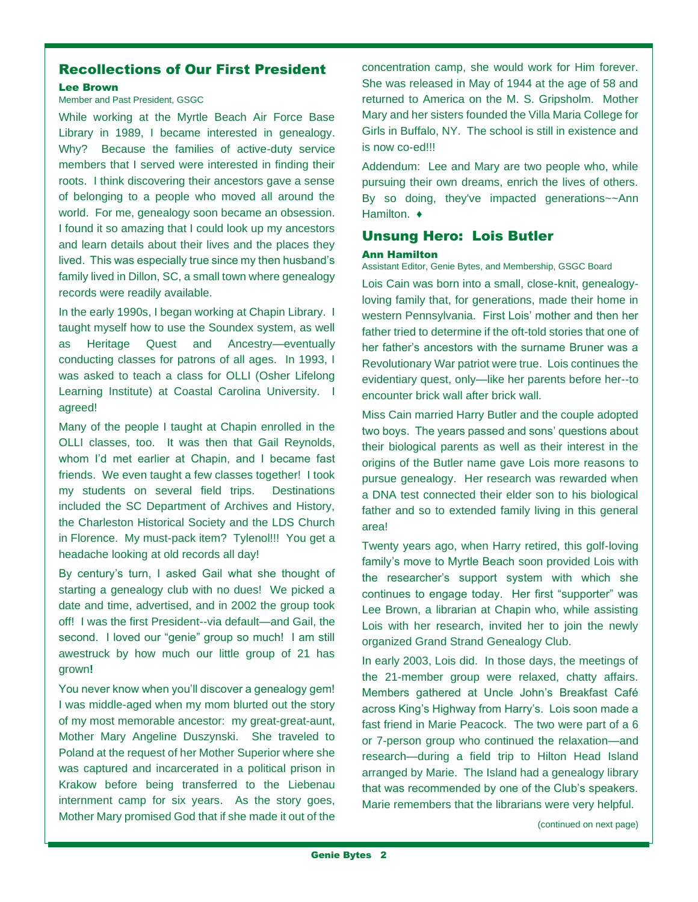# Recollections of Our First President

#### Lee Brown

### Member and Past President, GSGC

While working at the Myrtle Beach Air Force Base Library in 1989, I became interested in genealogy. Why? Because the families of active-duty service members that I served were interested in finding their roots. I think discovering their ancestors gave a sense of belonging to a people who moved all around the world. For me, genealogy soon became an obsession. I found it so amazing that I could look up my ancestors and learn details about their lives and the places they lived. This was especially true since my then husband's family lived in Dillon, SC, a small town where genealogy records were readily available.

In the early 1990s, I began working at Chapin Library. I taught myself how to use the Soundex system, as well as Heritage Quest and Ancestry—eventually conducting classes for patrons of all ages. In 1993, I was asked to teach a class for OLLI (Osher Lifelong Learning Institute) at Coastal Carolina University. I agreed!

Many of the people I taught at Chapin enrolled in the OLLI classes, too. It was then that Gail Reynolds, whom I'd met earlier at Chapin, and I became fast friends. We even taught a few classes together! I took my students on several field trips. Destinations included the SC Department of Archives and History, the Charleston Historical Society and the LDS Church in Florence. My must-pack item? Tylenol!!! You get a headache looking at old records all day!

By century's turn, I asked Gail what she thought of starting a genealogy club with no dues! We picked a date and time, advertised, and in 2002 the group took off! I was the first President--via default—and Gail, the second. I loved our "genie" group so much! I am still awestruck by how much our little group of 21 has grown**!**

You never know when you'll discover a genealogy gem! I was middle-aged when my mom blurted out the story of my most memorable ancestor: my great-great-aunt, Mother Mary Angeline Duszynski. She traveled to Poland at the request of her Mother Superior where she was captured and incarcerated in a political prison in Krakow before being transferred to the Liebenau internment camp for six years. As the story goes, Mother Mary promised God that if she made it out of the

concentration camp, she would work for Him forever. She was released in May of 1944 at the age of 58 and returned to America on the M. S. Gripsholm. Mother Mary and her sisters founded the Villa Maria College for Girls in Buffalo, NY. The school is still in existence and is now co-ed!!!

Addendum: Lee and Mary are two people who, while pursuing their own dreams, enrich the lives of others. By so doing, they've impacted generations~~Ann Hamilton. ♦

# Unsung Hero: Lois Butler

#### Ann Hamilton

Assistant Editor, Genie Bytes, and Membership, GSGC Board

Lois Cain was born into a small, close-knit, genealogyloving family that, for generations, made their home in western Pennsylvania. First Lois' mother and then her father tried to determine if the oft-told stories that one of her father's ancestors with the surname Bruner was a Revolutionary War patriot were true. Lois continues the evidentiary quest, only—like her parents before her--to encounter brick wall after brick wall.

Miss Cain married Harry Butler and the couple adopted two boys. The years passed and sons' questions about their biological parents as well as their interest in the origins of the Butler name gave Lois more reasons to pursue genealogy. Her research was rewarded when a DNA test connected their elder son to his biological father and so to extended family living in this general area!

Twenty years ago, when Harry retired, this golf-loving family's move to Myrtle Beach soon provided Lois with the researcher's support system with which she continues to engage today. Her first "supporter" was Lee Brown, a librarian at Chapin who, while assisting Lois with her research, invited her to join the newly organized Grand Strand Genealogy Club.

In early 2003, Lois did. In those days, the meetings of the 21-member group were relaxed, chatty affairs. Members gathered at Uncle John's Breakfast Café across King's Highway from Harry's. Lois soon made a fast friend in Marie Peacock. The two were part of a 6 or 7-person group who continued the relaxation—and research—during a field trip to Hilton Head Island arranged by Marie. The Island had a genealogy library that was recommended by one of the Club's speakers. Marie remembers that the librarians were very helpful.

(continued on next page)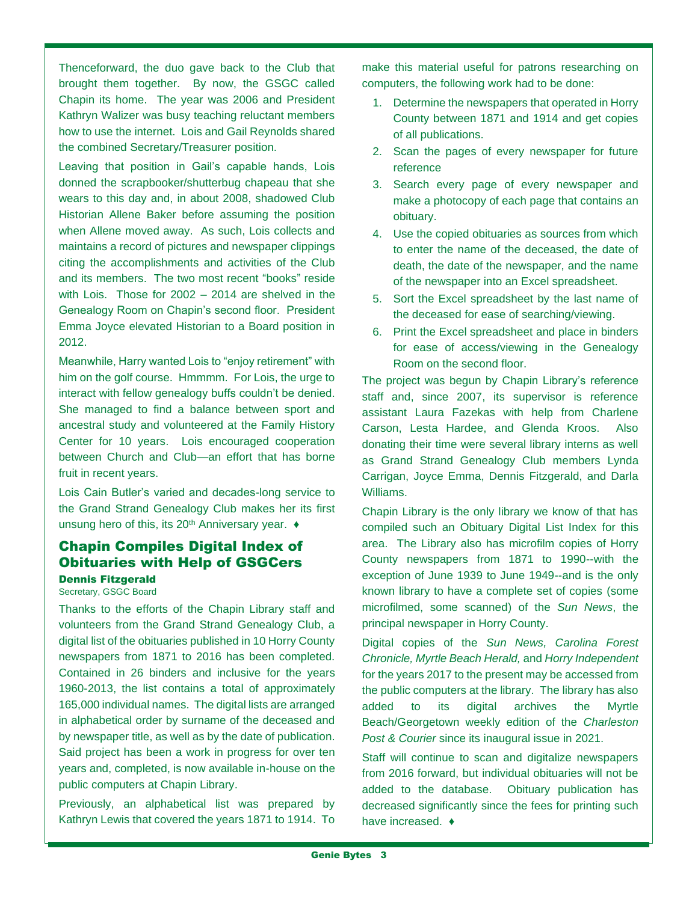Thenceforward, the duo gave back to the Club that brought them together. By now, the GSGC called Chapin its home. The year was 2006 and President Kathryn Walizer was busy teaching reluctant members how to use the internet. Lois and Gail Reynolds shared the combined Secretary/Treasurer position.

Leaving that position in Gail's capable hands, Lois donned the scrapbooker/shutterbug chapeau that she wears to this day and, in about 2008, shadowed Club Historian Allene Baker before assuming the position when Allene moved away. As such, Lois collects and maintains a record of pictures and newspaper clippings citing the accomplishments and activities of the Club and its members. The two most recent "books" reside with Lois. Those for 2002 – 2014 are shelved in the Genealogy Room on Chapin's second floor. President Emma Joyce elevated Historian to a Board position in 2012.

Meanwhile, Harry wanted Lois to "enjoy retirement" with him on the golf course. Hmmmm. For Lois, the urge to interact with fellow genealogy buffs couldn't be denied. She managed to find a balance between sport and ancestral study and volunteered at the Family History Center for 10 years. Lois encouraged cooperation between Church and Club—an effort that has borne fruit in recent years.

Lois Cain Butler's varied and decades-long service to the Grand Strand Genealogy Club makes her its first unsung hero of this, its 20<sup>th</sup> Anniversary year. ♦

# Chapin Compiles Digital Index of Obituaries with Help of GSGCers

#### Dennis Fitzgerald Secretary, GSGC Board

Thanks to the efforts of the Chapin Library staff and volunteers from the Grand Strand Genealogy Club, a digital list of the obituaries published in 10 Horry County newspapers from 1871 to 2016 has been completed. Contained in 26 binders and inclusive for the years 1960-2013, the list contains a total of approximately 165,000 individual names. The digital lists are arranged in alphabetical order by surname of the deceased and by newspaper title, as well as by the date of publication. Said project has been a work in progress for over ten years and, completed, is now available in-house on the public computers at Chapin Library.

Previously, an alphabetical list was prepared by Kathryn Lewis that covered the years 1871 to 1914. To make this material useful for patrons researching on computers, the following work had to be done:

- 1. Determine the newspapers that operated in Horry County between 1871 and 1914 and get copies of all publications.
- 2. Scan the pages of every newspaper for future reference
- 3. Search every page of every newspaper and make a photocopy of each page that contains an obituary.
- 4. Use the copied obituaries as sources from which to enter the name of the deceased, the date of death, the date of the newspaper, and the name of the newspaper into an Excel spreadsheet.
- 5. Sort the Excel spreadsheet by the last name of the deceased for ease of searching/viewing.
- 6. Print the Excel spreadsheet and place in binders for ease of access/viewing in the Genealogy Room on the second floor.

The project was begun by Chapin Library's reference staff and, since 2007, its supervisor is reference assistant Laura Fazekas with help from Charlene Carson, Lesta Hardee, and Glenda Kroos. Also donating their time were several library interns as well as Grand Strand Genealogy Club members Lynda Carrigan, Joyce Emma, Dennis Fitzgerald, and Darla Williams.

Chapin Library is the only library we know of that has compiled such an Obituary Digital List Index for this area. The Library also has microfilm copies of Horry County newspapers from 1871 to 1990--with the exception of June 1939 to June 1949--and is the only known library to have a complete set of copies (some microfilmed, some scanned) of the *Sun News*, the principal newspaper in Horry County.

Digital copies of the *Sun News, Carolina Forest Chronicle, Myrtle Beach Herald,* and *Horry Independent* for the years 2017 to the present may be accessed from the public computers at the library. The library has also added to its digital archives the Myrtle Beach/Georgetown weekly edition of the *Charleston Post & Courier* since its inaugural issue in 2021.

Staff will continue to scan and digitalize newspapers from 2016 forward, but individual obituaries will not be added to the database. Obituary publication has decreased significantly since the fees for printing such have increased. ♦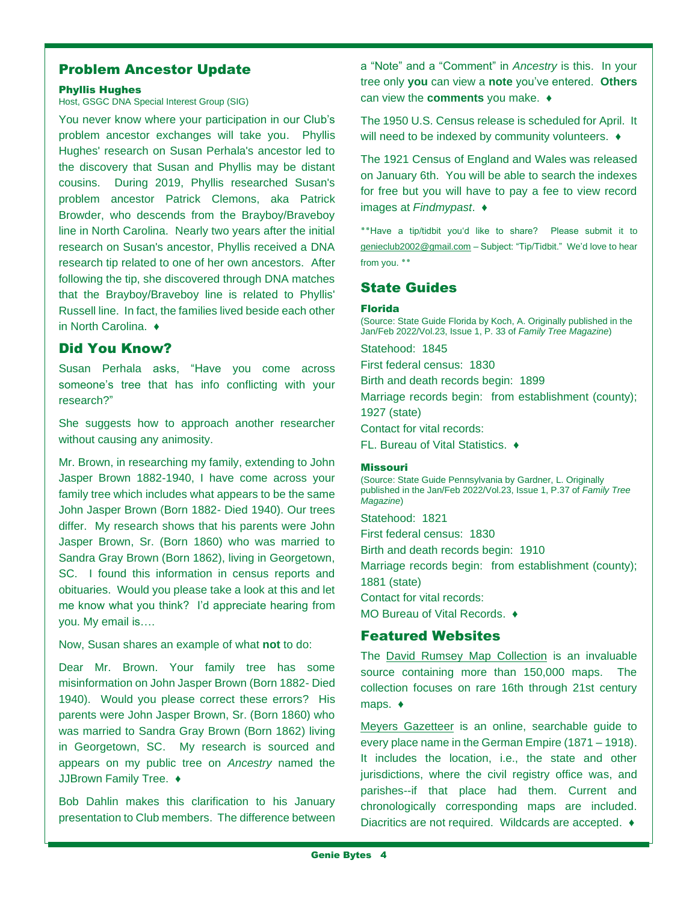# Problem Ancestor Update

#### Phyllis Hughes

#### Host, GSGC DNA Special Interest Group (SIG)

You never know where your participation in our Club's problem ancestor exchanges will take you. Phyllis Hughes' research on Susan Perhala's ancestor led to the discovery that Susan and Phyllis may be distant cousins. During 2019, Phyllis researched Susan's problem ancestor Patrick Clemons, aka Patrick Browder, who descends from the Brayboy/Braveboy line in North Carolina. Nearly two years after the initial research on Susan's ancestor, Phyllis received a DNA research tip related to one of her own ancestors. After following the tip, she discovered through DNA matches that the Brayboy/Braveboy line is related to Phyllis' Russell line. In fact, the families lived beside each other in North Carolina. ♦

# Did You Know?

Susan Perhala asks, "Have you come across someone's tree that has info conflicting with your research?"

She suggests how to approach another researcher without causing any animosity.

Mr. Brown, in researching my family, extending to John Jasper Brown 1882-1940, I have come across your family tree which includes what appears to be the same John Jasper Brown (Born 1882- Died 1940). Our trees differ. My research shows that his parents were John Jasper Brown, Sr. (Born 1860) who was married to Sandra Gray Brown (Born 1862), living in Georgetown, SC. I found this information in census reports and obituaries. Would you please take a look at this and let me know what you think? I'd appreciate hearing from you. My email is….

Now, Susan shares an example of what **not** to do:

Dear Mr. Brown. Your family tree has some misinformation on John Jasper Brown (Born 1882- Died 1940). Would you please correct these errors? His parents were John Jasper Brown, Sr. (Born 1860) who was married to Sandra Gray Brown (Born 1862) living in Georgetown, SC. My research is sourced and appears on my public tree on *Ancestry* named the JJBrown Family Tree. ♦

Bob Dahlin makes this clarification to his January presentation to Club members. The difference between a "Note" and a "Comment" in *Ancestry* is this. In your tree only **you** can view a **note** you've entered. **Others**  can view the **comments** you make. ♦

The 1950 U.S. Census release is scheduled for April. It will need to be indexed by community volunteers. ♦

The 1921 Census of England and Wales was released on January 6th. You will be able to search the indexes for free but you will have to pay a fee to view record images at *Findmypast*. ♦

**٭٭**Have a tip/tidbit you'd like to share? Please submit it to [genieclub2002@gmail.com](mailto:genieclub2002@gmail.com) – Subject: "Tip/Tidbit." We'd love to hear from you. ٭٭

# State Guides

#### Florida

(Source: State Guide Florida by Koch, A. Originally published in the Jan/Feb 2022/Vol.23, Issue 1, P. 33 of *Family Tree Magazine*)

Statehood: 1845

First federal census: 1830

Birth and death records begin: 1899

Marriage records begin: from establishment (county); 1927 (state)

Contact for vital records:

FL. Bureau of Vital Statistics. ♦

#### Missouri

(Source: State Guide Pennsylvania by Gardner, L. Originally published in the Jan/Feb 2022/Vol.23, Issue 1, P.37 of *Family Tree Magazine*)

Statehood: 1821

First federal census: 1830

Birth and death records begin: 1910

Marriage records begin: from establishment (county); 1881 (state)

Contact for vital records:

MO Bureau of Vital Records. ♦

# Featured Websites

The [David Rumsey Map Collection](https://www.davidrumsey.com/) is an invaluable source containing more than 150,000 maps. The collection focuses on rare 16th through 21st century maps. ♦

[Meyers Gazetteer](https://www.meyersgaz.org/) is an online, searchable guide to every place name in the German Empire (1871 – 1918). It includes the location, i.e., the state and other jurisdictions, where the civil registry office was, and parishes--if that place had them. Current and chronologically corresponding maps are included. Diacritics are not required. Wildcards are accepted. ♦